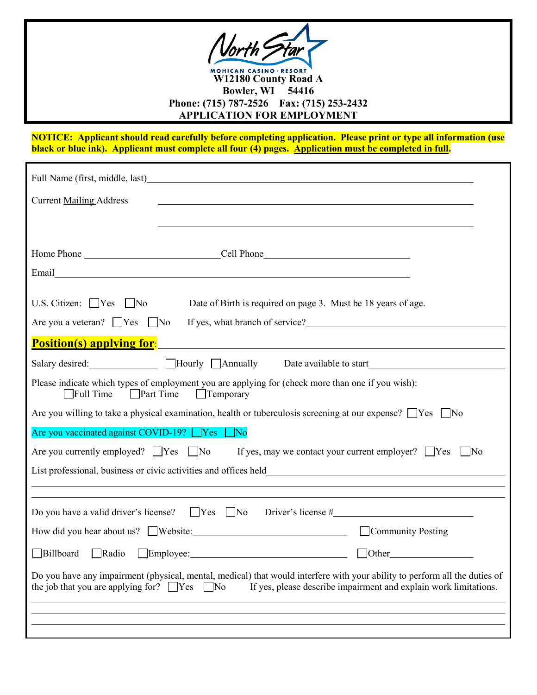

**NOTICE: Applicant should read carefully before completing application. Please print or type all information (use black or blue ink). Applicant must complete all four (4) pages. Application must be completed in full.** 

| Full Name (first, middle, last) example and the set of the set of the set of the set of the set of the set of the set of the set of the set of the set of the set of the set of the set of the set of the set of the set of th                                            |
|---------------------------------------------------------------------------------------------------------------------------------------------------------------------------------------------------------------------------------------------------------------------------|
| <b>Current Mailing Address</b><br><u> 1989 - Johann Stoff, amerikansk politiker (d. 1989)</u>                                                                                                                                                                             |
|                                                                                                                                                                                                                                                                           |
|                                                                                                                                                                                                                                                                           |
|                                                                                                                                                                                                                                                                           |
| U.S. Citizen: $\Box$ Yes $\Box$ No Date of Birth is required on page 3. Must be 18 years of age.<br>Are you a veteran? $\Box$ Yes $\Box$ No                                                                                                                               |
| If yes, what branch of service?<br><u>Letting</u> the service of service and the service of service of service of the service of the series of the service of the service of the service of the service of the service of the service<br><u>Position(s) applying for:</u> |
|                                                                                                                                                                                                                                                                           |
| Please indicate which types of employment you are applying for (check more than one if you wish):<br>$\Box$ Full Time<br><b>Part Time</b><br>$\Box$ Temporary                                                                                                             |
| Are you willing to take a physical examination, health or tuberculosis screening at our expense? $\Box$ Yes $\Box$ No                                                                                                                                                     |
| Are you vaccinated against COVID-19? Ves No                                                                                                                                                                                                                               |
| If yes, may we contact your current employer? $\Box$ Yes<br>Are you currently employed? $\Box$ Yes $\Box$ No<br>$\vert$ No                                                                                                                                                |
|                                                                                                                                                                                                                                                                           |
|                                                                                                                                                                                                                                                                           |
| Do you have a valid driver's license? $\Box$ Yes $\Box$ No                                                                                                                                                                                                                |
| Community Posting                                                                                                                                                                                                                                                         |
| Billboard<br>Radio<br>$\Box$ Employee:<br><b>Other</b>                                                                                                                                                                                                                    |
| Do you have any impairment (physical, mental, medical) that would interfere with your ability to perform all the duties of<br>the job that you are applying for? $\Box$ Yes<br>If yes, please describe impairment and explain work limitations.<br>$\Box$ No              |
|                                                                                                                                                                                                                                                                           |
|                                                                                                                                                                                                                                                                           |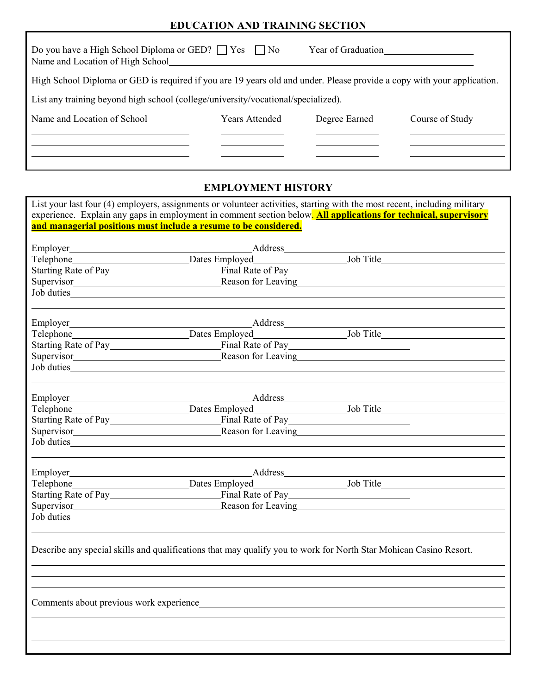## **EDUCATION AND TRAINING SECTION**

| Do you have a High School Diploma or GED? $\Box$ Yes $\Box$ No<br>Name and Location of High School                     |                | Year of Graduation |                 |  |
|------------------------------------------------------------------------------------------------------------------------|----------------|--------------------|-----------------|--|
| High School Diploma or GED is required if you are 19 years old and under. Please provide a copy with your application. |                |                    |                 |  |
| List any training beyond high school (college/university/vocational/specialized).                                      |                |                    |                 |  |
| Name and Location of School                                                                                            | Years Attended | Degree Earned      | Course of Study |  |
|                                                                                                                        |                |                    |                 |  |
|                                                                                                                        |                |                    |                 |  |

# **EMPLOYMENT HISTORY**

|                                                                                                                   | List your last four (4) employers, assignments or volunteer activities, starting with the most recent, including military |
|-------------------------------------------------------------------------------------------------------------------|---------------------------------------------------------------------------------------------------------------------------|
|                                                                                                                   | experience. Explain any gaps in employment in comment section below. All applications for technical, supervisory          |
| and managerial positions must include a resume to be considered.                                                  |                                                                                                                           |
|                                                                                                                   |                                                                                                                           |
|                                                                                                                   |                                                                                                                           |
|                                                                                                                   |                                                                                                                           |
|                                                                                                                   |                                                                                                                           |
| Job duties                                                                                                        |                                                                                                                           |
|                                                                                                                   |                                                                                                                           |
|                                                                                                                   | Telephone Dates Employed Job Title Job Title                                                                              |
|                                                                                                                   |                                                                                                                           |
|                                                                                                                   |                                                                                                                           |
|                                                                                                                   |                                                                                                                           |
|                                                                                                                   |                                                                                                                           |
|                                                                                                                   |                                                                                                                           |
|                                                                                                                   |                                                                                                                           |
|                                                                                                                   |                                                                                                                           |
|                                                                                                                   |                                                                                                                           |
|                                                                                                                   |                                                                                                                           |
|                                                                                                                   |                                                                                                                           |
|                                                                                                                   |                                                                                                                           |
|                                                                                                                   |                                                                                                                           |
|                                                                                                                   |                                                                                                                           |
|                                                                                                                   |                                                                                                                           |
| Describe any special skills and qualifications that may qualify you to work for North Star Mohican Casino Resort. |                                                                                                                           |
|                                                                                                                   |                                                                                                                           |
|                                                                                                                   |                                                                                                                           |
|                                                                                                                   |                                                                                                                           |
|                                                                                                                   |                                                                                                                           |
|                                                                                                                   |                                                                                                                           |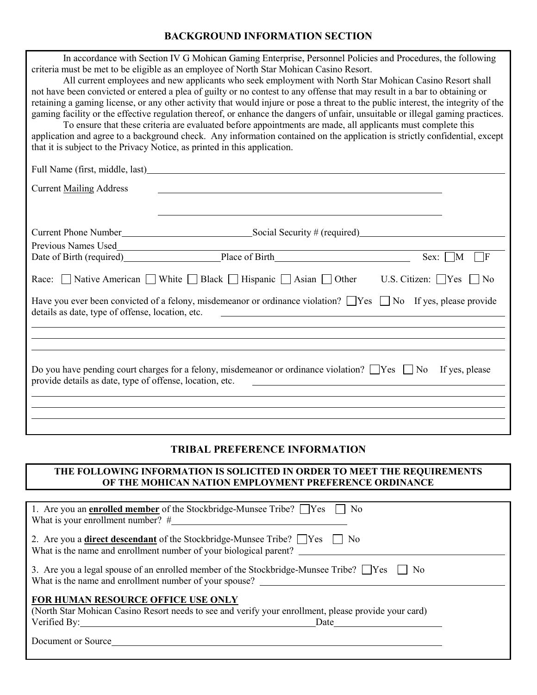#### **BACKGROUND INFORMATION SECTION**

| In accordance with Section IV G Mohican Gaming Enterprise, Personnel Policies and Procedures, the following<br>criteria must be met to be eligible as an employee of North Star Mohican Casino Resort.<br>All current employees and new applicants who seek employment with North Star Mohican Casino Resort shall<br>not have been convicted or entered a plea of guilty or no contest to any offense that may result in a bar to obtaining or<br>retaining a gaming license, or any other activity that would injure or pose a threat to the public interest, the integrity of the<br>gaming facility or the effective regulation thereof, or enhance the dangers of unfair, unsuitable or illegal gaming practices.<br>To ensure that these criteria are evaluated before appointments are made, all applicants must complete this<br>application and agree to a background check. Any information contained on the application is strictly confidential, except |  |  |  |  |
|---------------------------------------------------------------------------------------------------------------------------------------------------------------------------------------------------------------------------------------------------------------------------------------------------------------------------------------------------------------------------------------------------------------------------------------------------------------------------------------------------------------------------------------------------------------------------------------------------------------------------------------------------------------------------------------------------------------------------------------------------------------------------------------------------------------------------------------------------------------------------------------------------------------------------------------------------------------------|--|--|--|--|
| that it is subject to the Privacy Notice, as printed in this application.                                                                                                                                                                                                                                                                                                                                                                                                                                                                                                                                                                                                                                                                                                                                                                                                                                                                                           |  |  |  |  |
|                                                                                                                                                                                                                                                                                                                                                                                                                                                                                                                                                                                                                                                                                                                                                                                                                                                                                                                                                                     |  |  |  |  |
| <b>Current Mailing Address</b>                                                                                                                                                                                                                                                                                                                                                                                                                                                                                                                                                                                                                                                                                                                                                                                                                                                                                                                                      |  |  |  |  |
|                                                                                                                                                                                                                                                                                                                                                                                                                                                                                                                                                                                                                                                                                                                                                                                                                                                                                                                                                                     |  |  |  |  |
|                                                                                                                                                                                                                                                                                                                                                                                                                                                                                                                                                                                                                                                                                                                                                                                                                                                                                                                                                                     |  |  |  |  |
| <u> 1989 - Johann Stoff, Amerikaansk politiker (</u>                                                                                                                                                                                                                                                                                                                                                                                                                                                                                                                                                                                                                                                                                                                                                                                                                                                                                                                |  |  |  |  |
| Date of Birth (required) Place of Birth<br>$Sex: \Box M$<br>ΤF                                                                                                                                                                                                                                                                                                                                                                                                                                                                                                                                                                                                                                                                                                                                                                                                                                                                                                      |  |  |  |  |
| Race: $\Box$ Native American $\Box$ White $\Box$ Black $\Box$ Hispanic $\Box$ Asian $\Box$ Other<br>U.S. Citizen: $\bigcap$ Yes<br>$\blacksquare$ $\blacksquare$ $\blacksquare$                                                                                                                                                                                                                                                                                                                                                                                                                                                                                                                                                                                                                                                                                                                                                                                     |  |  |  |  |
| Have you ever been convicted of a felony, misdemeanor or ordinance violation? $\Box$ Yes $\Box$ No If yes, please provide<br>details as date, type of offense, location, etc.<br><u> 1980 - Jan Samuel Barbara, martin di sebagai personal di sebagai personal di sebagai personal di sebagai per</u>                                                                                                                                                                                                                                                                                                                                                                                                                                                                                                                                                                                                                                                               |  |  |  |  |
|                                                                                                                                                                                                                                                                                                                                                                                                                                                                                                                                                                                                                                                                                                                                                                                                                                                                                                                                                                     |  |  |  |  |
|                                                                                                                                                                                                                                                                                                                                                                                                                                                                                                                                                                                                                                                                                                                                                                                                                                                                                                                                                                     |  |  |  |  |
| Do you have pending court charges for a felony, misdemeanor or ordinance violation? $\Box$ Yes $\Box$ No<br>If yes, please<br>provide details as date, type of offense, location, etc.                                                                                                                                                                                                                                                                                                                                                                                                                                                                                                                                                                                                                                                                                                                                                                              |  |  |  |  |
|                                                                                                                                                                                                                                                                                                                                                                                                                                                                                                                                                                                                                                                                                                                                                                                                                                                                                                                                                                     |  |  |  |  |
|                                                                                                                                                                                                                                                                                                                                                                                                                                                                                                                                                                                                                                                                                                                                                                                                                                                                                                                                                                     |  |  |  |  |
|                                                                                                                                                                                                                                                                                                                                                                                                                                                                                                                                                                                                                                                                                                                                                                                                                                                                                                                                                                     |  |  |  |  |

# **TRIBAL PREFERENCE INFORMATION**

### **THE FOLLOWING INFORMATION IS SOLICITED IN ORDER TO MEET THE REQUIREMENTS OF THE MOHICAN NATION EMPLOYMENT PREFERENCE ORDINANCE**

| 1. Are you an <b>enrolled member</b> of the Stockbridge-Munsee Tribe? $\Box$ Yes $\Box$ No<br>What is your enrollment number? $#$                                                       |
|-----------------------------------------------------------------------------------------------------------------------------------------------------------------------------------------|
| 2. Are you a <b>direct descendant</b> of the Stockbridge-Munsee Tribe? $\Box$ Yes $\Box$ No<br>What is the name and enrollment number of your biological parent?                        |
| 3. Are you a legal spouse of an enrolled member of the Stockbridge-Munsee Tribe? $\Box$ Yes $\Box$ No<br>What is the name and enrollment number of your spouse?                         |
| <b>FOR HUMAN RESOURCE OFFICE USE ONLY</b><br>(North Star Mohican Casino Resort needs to see and verify your enrollment, please provide your card)<br>Verified By: New York 1997<br>Date |
| Document or Source                                                                                                                                                                      |